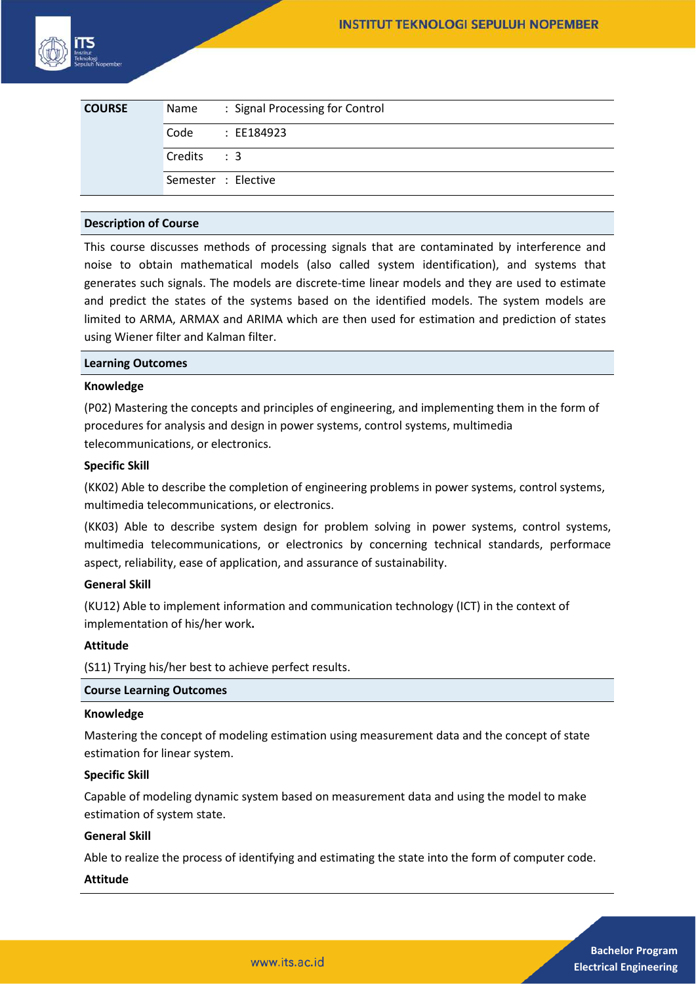| <b>COURSE</b> | Name       | : Signal Processing for Control |
|---------------|------------|---------------------------------|
|               | Code       | : EE184923                      |
|               | Credits: 3 |                                 |
|               |            | Semester : Elective             |

### **Description of Course**

This course discusses methods of processing signals that are contaminated by interference and noise to obtain mathematical models (also called system identification), and systems that generates such signals. The models are discrete-time linear models and they are used to estimate and predict the states of the systems based on the identified models. The system models are limited to ARMA, ARMAX and ARIMA which are then used for estimation and prediction of states using Wiener filter and Kalman filter.

#### **Learning Outcomes**

### **Knowledge**

(P02) Mastering the concepts and principles of engineering, and implementing them in the form of procedures for analysis and design in power systems, control systems, multimedia telecommunications, or electronics.

### **Specific Skill**

(KK02) Able to describe the completion of engineering problems in power systems, control systems, multimedia telecommunications, or electronics.

(KK03) Able to describe system design for problem solving in power systems, control systems, multimedia telecommunications, or electronics by concerning technical standards, performace aspect, reliability, ease of application, and assurance of sustainability.

#### **General Skill**

(KU12) Able to implement information and communication technology (ICT) in the context of implementation of his/her work**.** 

# **Attitude**

(S11) Trying his/her best to achieve perfect results.

### **Course Learning Outcomes**

#### **Knowledge**

Mastering the concept of modeling estimation using measurement data and the concept of state estimation for linear system.

#### **Specific Skill**

Capable of modeling dynamic system based on measurement data and using the model to make estimation of system state.

# **General Skill**

Able to realize the process of identifying and estimating the state into the form of computer code.

www.its.ac.id

# **Attitude**